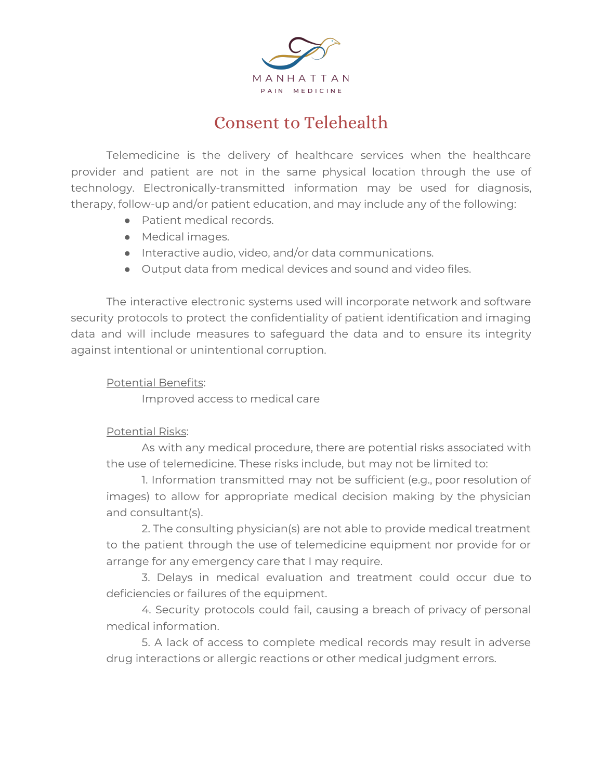

## Consent to Telehealth

Telemedicine is the delivery of healthcare services when the healthcare provider and patient are not in the same physical location through the use of technology. Electronically-transmitted information may be used for diagnosis, therapy, follow-up and/or patient education, and may include any of the following:

- Patient medical records.
- Medical images.
- Interactive audio, video, and/or data communications.
- Output data from medical devices and sound and video files.

The interactive electronic systems used will incorporate network and software security protocols to protect the confidentiality of patient identification and imaging data and will include measures to safeguard the data and to ensure its integrity against intentional or unintentional corruption.

## Potential Benefits:

Improved access to medical care

## Potential Risks:

As with any medical procedure, there are potential risks associated with the use of telemedicine. These risks include, but may not be limited to:

1. Information transmitted may not be sufficient (e.g., poor resolution of images) to allow for appropriate medical decision making by the physician and consultant(s).

2. The consulting physician(s) are not able to provide medical treatment to the patient through the use of telemedicine equipment nor provide for or arrange for any emergency care that I may require.

3. Delays in medical evaluation and treatment could occur due to deficiencies or failures of the equipment.

4. Security protocols could fail, causing a breach of privacy of personal medical information.

5. A lack of access to complete medical records may result in adverse drug interactions or allergic reactions or other medical judgment errors.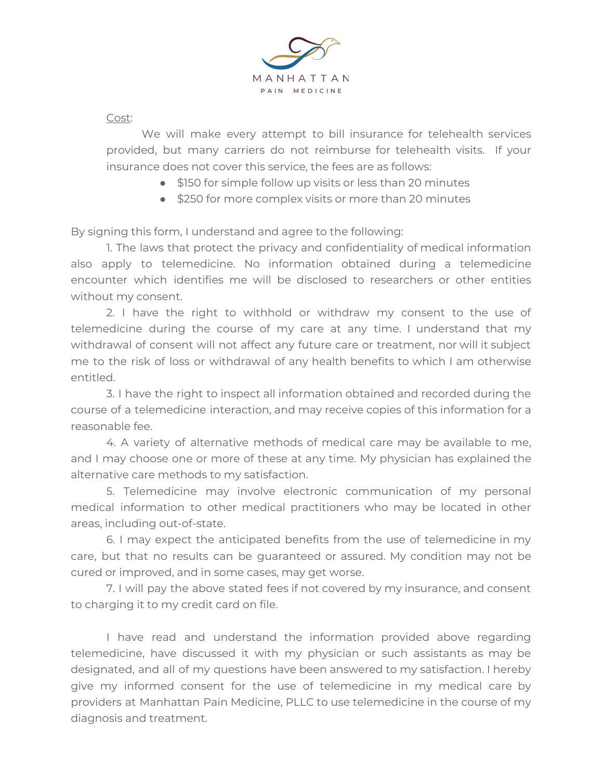

Cost:

We will make every attempt to bill insurance for telehealth services provided, but many carriers do not reimburse for telehealth visits. If your insurance does not cover this service, the fees are as follows:

- \$150 for simple follow up visits or less than 20 minutes
- \$250 for more complex visits or more than 20 minutes

By signing this form, I understand and agree to the following:

1. The laws that protect the privacy and confidentiality of medical information also apply to telemedicine. No information obtained during a telemedicine encounter which identifies me will be disclosed to researchers or other entities without my consent.

2. I have the right to withhold or withdraw my consent to the use of telemedicine during the course of my care at any time. I understand that my withdrawal of consent will not affect any future care or treatment, nor will it subject me to the risk of loss or withdrawal of any health benefits to which I am otherwise entitled.

3. I have the right to inspect all information obtained and recorded during the course of a telemedicine interaction, and may receive copies of this information for a reasonable fee.

4. A variety of alternative methods of medical care may be available to me, and I may choose one or more of these at any time. My physician has explained the alternative care methods to my satisfaction.

5. Telemedicine may involve electronic communication of my personal medical information to other medical practitioners who may be located in other areas, including out-of-state.

6. I may expect the anticipated benefits from the use of telemedicine in my care, but that no results can be guaranteed or assured. My condition may not be cured or improved, and in some cases, may get worse.

7. I will pay the above stated fees if not covered by my insurance, and consent to charging it to my credit card on file.

I have read and understand the information provided above regarding telemedicine, have discussed it with my physician or such assistants as may be designated, and all of my questions have been answered to my satisfaction. I hereby give my informed consent for the use of telemedicine in my medical care by providers at Manhattan Pain Medicine, PLLC to use telemedicine in the course of my diagnosis and treatment.